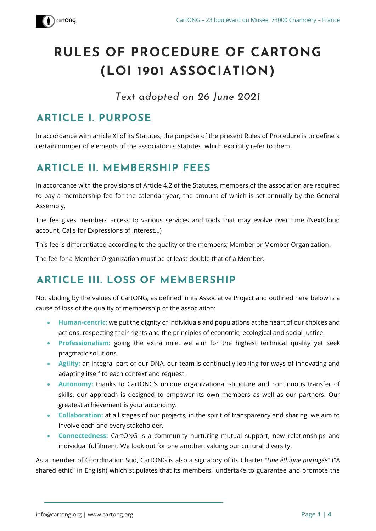

# **RULES OF PROCEDURE OF CARTONG (LOI 1901 ASSOCIATION)**

*Text adopted on 26 June 2021*

# **ARTICLE I. PURPOSE**

In accordance with article XI of its Statutes, the purpose of the present Rules of Procedure is to define a certain number of elements of the association's Statutes, which explicitly refer to them.

# **ARTICLE II. MEMBERSHIP FEES**

In accordance with the provisions of Article 4.2 of the Statutes, members of the association are required to pay a membership fee for the calendar year, the amount of which is set annually by the General Assembly.

The fee gives members access to various services and tools that may evolve over time (NextCloud account, Calls for Expressions of Interest...)

This fee is differentiated according to the quality of the members; Member or Member Organization.

The fee for a Member Organization must be at least double that of a Member.

# **ARTICLE III. LOSS OF MEMBERSHIP**

Not abiding by the values of CartONG, as defined in its Associative Project and outlined here below is a cause of loss of the quality of membership of the association:

- **Human-centric:** we put the dignity of individuals and populations at the heart of our choices and actions, respecting their rights and the principles of economic, ecological and social justice.
- **Professionalism:** going the extra mile, we aim for the highest technical quality yet seek pragmatic solutions.
- **Agility:** an integral part of our DNA, our team is continually looking for ways of innovating and adapting itself to each context and request.
- **Autonomy:** thanks to CartONG's unique organizational structure and continuous transfer of skills, our approach is designed to empower its own members as well as our partners. Our greatest achievement is your autonomy.
- **Collaboration:** at all stages of our projects, in the spirit of transparency and sharing, we aim to involve each and every stakeholder.
- **Connectedness:** CartONG is a community nurturing mutual support, new relationships and individual fulfilment. We look out for one another, valuing our cultural diversity.

As a member of Coordination Sud, CartONG is also a signatory of its Charter *"Une éthique partagée"* ("A shared ethic" in English) which stipulates that its members "undertake to guarantee and promote the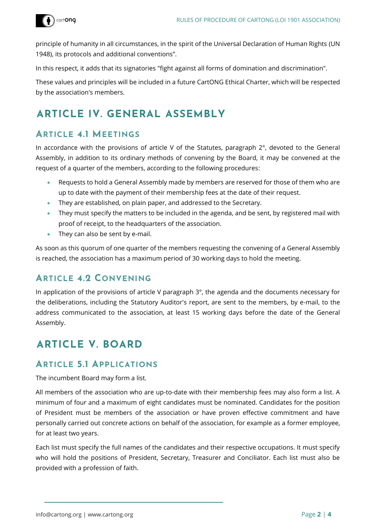

principle of humanity in all circumstances, in the spirit of the Universal Declaration of Human Rights (UN 1948), its protocols and additional conventions".

In this respect, it adds that its signatories "fight against all forms of domination and discrimination".

These values and principles will be included in a future CartONG Ethical Charter, which will be respected by the association's members.

### **ARTICLE IV. GENERAL ASSEMBLY**

### **ARTICLE 4.1 MEETINGS**

In accordance with the provisions of article V of the Statutes, paragraph 2°, devoted to the General Assembly, in addition to its ordinary methods of convening by the Board, it may be convened at the request of a quarter of the members, according to the following procedures:

- Requests to hold a General Assembly made by members are reserved for those of them who are up to date with the payment of their membership fees at the date of their request.
- They are established, on plain paper, and addressed to the Secretary.
- They must specify the matters to be included in the agenda, and be sent, by registered mail with proof of receipt, to the headquarters of the association.
- They can also be sent by e-mail.

As soon as this quorum of one quarter of the members requesting the convening of a General Assembly is reached, the association has a maximum period of 30 working days to hold the meeting.

### **ARTICLE 4.2 CONVENING**

In application of the provisions of article V paragraph  $3^\circ$ , the agenda and the documents necessary for the deliberations, including the Statutory Auditor's report, are sent to the members, by e-mail, to the address communicated to the association, at least 15 working days before the date of the General Assembly.

### **ARTICLE V. BOARD**

#### **ARTICLE 5.1 APPLICATIONS**

The incumbent Board may form a list.

All members of the association who are up-to-date with their membership fees may also form a list. A minimum of four and a maximum of eight candidates must be nominated. Candidates for the position of President must be members of the association or have proven effective commitment and have personally carried out concrete actions on behalf of the association, for example as a former employee, for at least two years.

Each list must specify the full names of the candidates and their respective occupations. It must specify who will hold the positions of President, Secretary, Treasurer and Conciliator. Each list must also be provided with a profession of faith.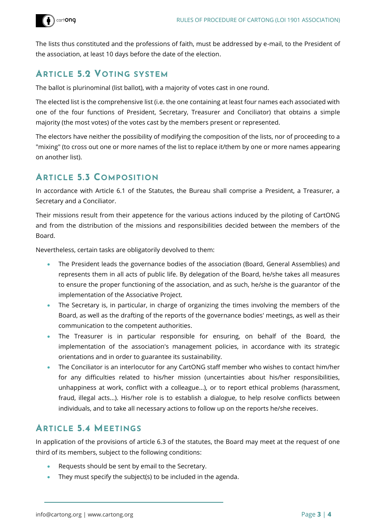

The lists thus constituted and the professions of faith, must be addressed by e-mail, to the President of the association, at least 10 days before the date of the election.

### **ARTICLE 5.2 VOTING SYSTEM**

The ballot is plurinominal (list ballot), with a majority of votes cast in one round.

The elected list is the comprehensive list (i.e. the one containing at least four names each associated with one of the four functions of President, Secretary, Treasurer and Conciliator) that obtains a simple majority (the most votes) of the votes cast by the members present or represented.

The electors have neither the possibility of modifying the composition of the lists, nor of proceeding to a "mixing" (to cross out one or more names of the list to replace it/them by one or more names appearing on another list).

### **ARTICLE 5.3 COMPOSITION**

In accordance with Article 6.1 of the Statutes, the Bureau shall comprise a President, a Treasurer, a Secretary and a Conciliator.

Their missions result from their appetence for the various actions induced by the piloting of CartONG and from the distribution of the missions and responsibilities decided between the members of the Board.

Nevertheless, certain tasks are obligatorily devolved to them:

- The President leads the governance bodies of the association (Board, General Assemblies) and represents them in all acts of public life. By delegation of the Board, he/she takes all measures to ensure the proper functioning of the association, and as such, he/she is the guarantor of the implementation of the Associative Project.
- The Secretary is, in particular, in charge of organizing the times involving the members of the Board, as well as the drafting of the reports of the governance bodies' meetings, as well as their communication to the competent authorities.
- The Treasurer is in particular responsible for ensuring, on behalf of the Board, the implementation of the association's management policies, in accordance with its strategic orientations and in order to guarantee its sustainability.
- The Conciliator is an interlocutor for any CartONG staff member who wishes to contact him/her for any difficulties related to his/her mission (uncertainties about his/her responsibilities, unhappiness at work, conflict with a colleague...), or to report ethical problems (harassment, fraud, illegal acts...). His/her role is to establish a dialogue, to help resolve conflicts between individuals, and to take all necessary actions to follow up on the reports he/she receives.

### **ARTICLE 5.4 MEETINGS**

In application of the provisions of article 6.3 of the statutes, the Board may meet at the request of one third of its members, subject to the following conditions:

- Requests should be sent by email to the Secretary.
- They must specify the subject(s) to be included in the agenda.